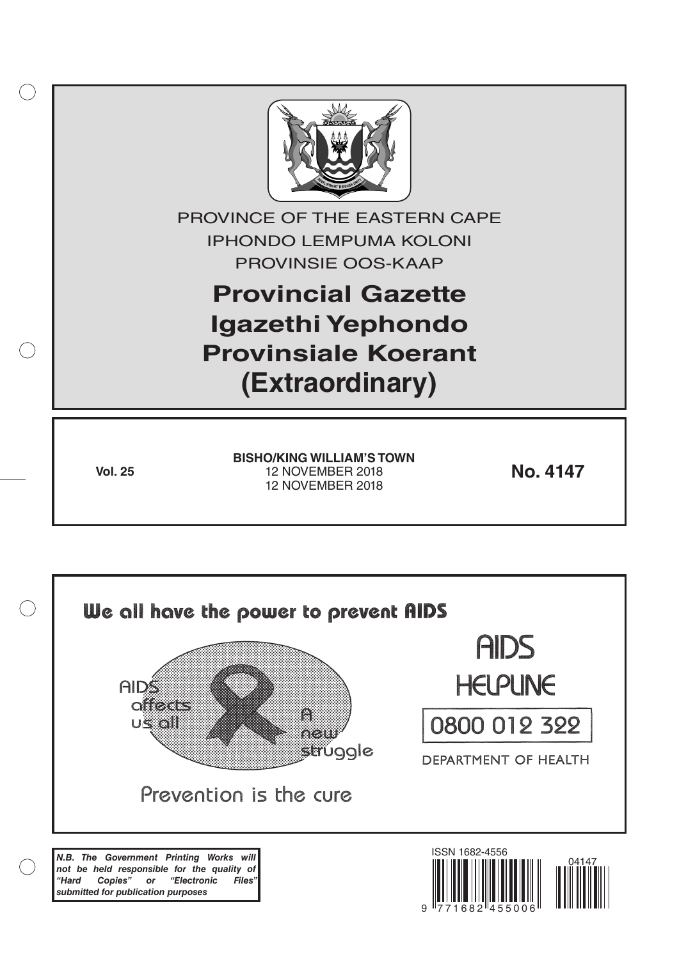

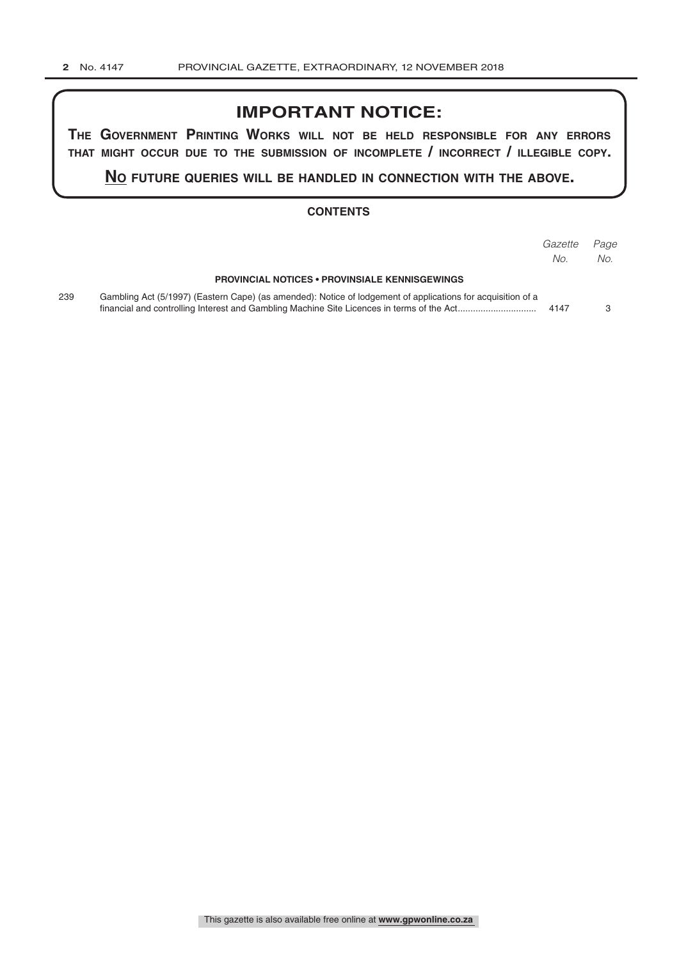## **IMPORTANT NOTICE:**

**The GovernmenT PrinTinG Works Will noT be held resPonsible for any errors ThaT miGhT occur due To The submission of incomPleTe / incorrecT / illeGible coPy.**

**no fuTure queries Will be handled in connecTion WiTh The above.**

#### **CONTENTS**

|     |                                                                                                             | Gazette<br>No. | Page<br>No. |
|-----|-------------------------------------------------------------------------------------------------------------|----------------|-------------|
|     | <b>PROVINCIAL NOTICES • PROVINSIALE KENNISGEWINGS</b>                                                       |                |             |
| 239 | Gambling Act (5/1997) (Eastern Cape) (as amended): Notice of lodgement of applications for acquisition of a | 4147           |             |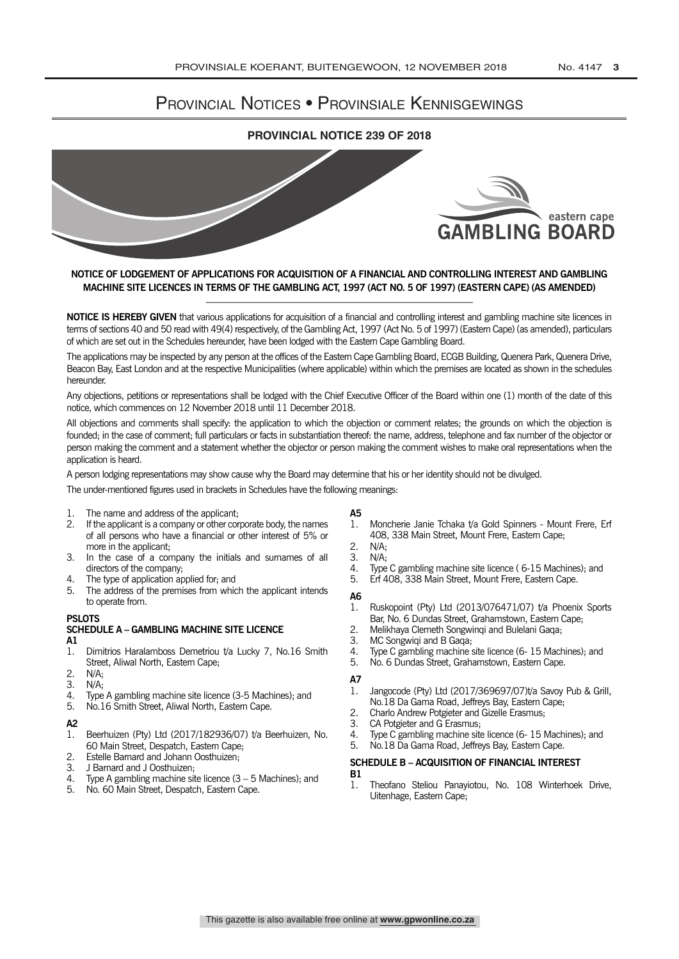## Provincial Notices • Provinsiale Kennisgewings

#### **PROVINCIAL NOTICE 239 OF 2018**



#### **NOTICE OF LODGEMENT OF APPLICATIONS FOR ACQUISITION OF A FINANCIAL AND CONTROLLING INTEREST AND GAMBLING MACHINE SITE LICENCES IN TERMS OF THE GAMBLING ACT, 1997 (ACT NO. 5 OF 1997) (EASTERN CAPE) (AS AMENDED)**

**NOTICE IS HEREBY GIVEN** that various applications for acquisition of a financial and controlling interest and gambling machine site licences in terms of sections 40 and 50 read with 49(4) respectively, of the Gambling Act, 1997 (Act No. 5 of 1997) (Eastern Cape) (as amended), particulars of which are set out in the Schedules hereunder, have been lodged with the Eastern Cape Gambling Board.

The applications may be inspected by any person at the offices of the Eastern Cape Gambling Board, ECGB Building, Quenera Park, Quenera Drive, Beacon Bay, East London and at the respective Municipalities (where applicable) within which the premises are located as shown in the schedules hereunder.

Any objections, petitions or representations shall be lodged with the Chief Executive Officer of the Board within one (1) month of the date of this notice, which commences on 12 November 2018 until 11 December 2018.

All objections and comments shall specify: the application to which the objection or comment relates; the grounds on which the objection is founded; in the case of comment; full particulars or facts in substantiation thereof: the name, address, telephone and fax number of the objector or person making the comment and a statement whether the objector or person making the comment wishes to make oral representations when the application is heard.

A person lodging representations may show cause why the Board may determine that his or her identity should not be divulged.

The under-mentioned figures used in brackets in Schedules have the following meanings:

- 1. The name and address of the applicant;
- 2. If the applicant is a company or other corporate body, the names of all persons who have a financial or other interest of 5% or more in the applicant;
- 3. In the case of a company the initials and surnames of all directors of the company;
- 4. The type of application applied for; and
- 5. The address of the premises from which the applicant intends to operate from.

#### **PSLOTS**

### **SCHEDULE A – GAMBLING MACHINE SITE LICENCE**

- **A1**
- 1. Dimitrios Haralamboss Demetriou t/a Lucky 7, No.16 Smith Street, Aliwal North, Eastern Cape;
- 2. N/A;<br>3. N/A:
- $N/A$ :
- 4. Type A gambling machine site licence (3-5 Machines); and<br>5. No.16 Smith Street, Aliwal North, Fastern Cape.
- No.16 Smith Street, Aliwal North, Eastern Cape.
- **A2**
- 1. Beerhuizen (Pty) Ltd (2017/182936/07) t/a Beerhuizen, No. 60 Main Street, Despatch, Eastern Cape;
- 2. Estelle Barnard and Johann Oosthuizen;<br>3. J Barnard and J Oosthuizen;
- 3. J Barnard and J Oosthuizen;
- 4. Type A gambling machine site licence (3 5 Machines); and
- 5. No. 60 Main Street, Despatch, Eastern Cape.

#### **A5**

- 1. Moncherie Janie Tchaka t/a Gold Spinners Mount Frere, Erf 408, 338 Main Street, Mount Frere, Eastern Cape;
- 2. N/A;<br>3 N/A·
- 3. N/A;<br>4. Type
- 4. Type C gambling machine site licence (6-15 Machines); and<br>5. Erf 408, 338 Main Street, Mount Frere, Eastern Cape. Erf 408, 338 Main Street, Mount Frere, Eastern Cape.
- 
- **A6** Ruskopoint (Pty) Ltd (2013/076471/07) t/a Phoenix Sports
- Bar, No. 6 Dundas Street, Grahamstown, Eastern Cape;
- 2. Melikhaya Clemeth Songwinqi and Bulelani Gaqa;<br>3. MC Songwigi and B Gaga
- MC Songwiqi and B Gaqa;
- 4. Type C gambling machine site licence (6-15 Machines); and<br>5. No. 6 Dundas Street. Grahamstown. Eastern Cape.
	- 5. No. 6 Dundas Street, Grahamstown, Eastern Cape.
- **A7**
- 1. Jangocode (Pty) Ltd (2017/369697/07)t/a Savoy Pub & Grill, No.18 Da Gama Road, Jeffreys Bay, Eastern Cape;
- 2. Charlo Andrew Potgieter and Gizelle Erasmus;
- 3. CA Potgieter and G Erasmus;
- 4. Type C gambling machine site licence (6-15 Machines); and<br>5. No. 18 Da Gama Road. Jeffreys Bay, Fastern Cape.
- 5. No.18 Da Gama Road, Jeffreys Bay, Eastern Cape.

#### **SCHEDULE B – ACQUISITION OF FINANCIAL INTEREST B1**

1. Theofano Steliou Panayiotou, No. 108 Winterhoek Drive, Uitenhage, Eastern Cape;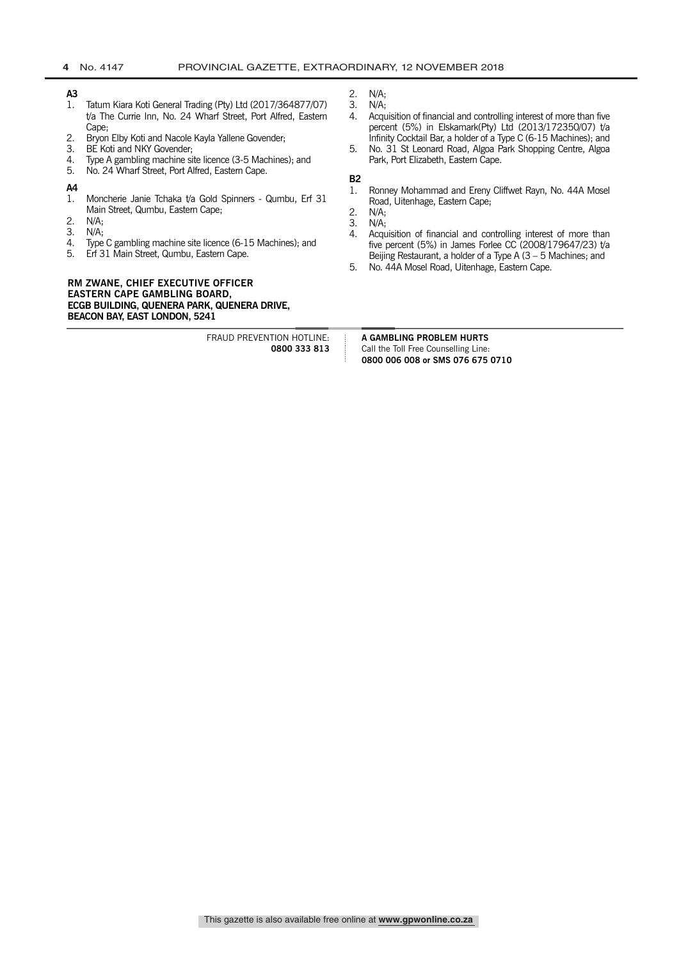# **A3**

- Tatum Kiara Koti General Trading (Pty) Ltd (2017/364877/07) t/a The Currie Inn, No. 24 Wharf Street, Port Alfred, Eastern Cape;
- 2. Bryon Elby Koti and Nacole Kayla Yallene Govender;
- 3. BE Koti and NKY Govender;<br>4. Type A gambling machine si
- Type A gambling machine site licence (3-5 Machines); and
- 5. No. 24 Wharf Street, Port Alfred, Eastern Cape.

## **A4**

- Moncherie Janie Tchaka t/a Gold Spinners Qumbu, Erf 31 Main Street, Qumbu, Eastern Cape;
- 
- 2. N/A;<br>3. N/A;
- 3. N/A; 4. Type C gambling machine site licence (6-15 Machines); and<br>5. Frf 31 Main Street, Qumbu, Fastern Cape.
- Erf 31 Main Street, Qumbu, Eastern Cape.

#### **RM ZwANE, CHIEF ExECUTIvE OFFICER EASTERN CAPE GAMBLING BOARD, ECGB BUILDING, QUENERA PARk, QUENERA DRIvE, BEACON BAy, EAST LONDON, 5241**

FRAUD PREVENTION HOTLINE: **0800 333 813** 2. N/A;<br>3. N/A;

Uitenhage, Eastern Cape;

- N/A;
- 4. Acquisition of financial and controlling interest of more than five percent (5%) in Elskamark(Pty) Ltd (2013/172350/07) t/a Infinity Cocktail Bar, a holder of a Type C (6-15 Machines); and
- 5. No. 31 St Leonard Road, Algoa Park Shopping Centre, Algoa Park, Port Elizabeth, Eastern Cape.

#### **B2**

- 1. Ronney Mohammad and Ereny Cliffwet Rayn, No. 44A Mosel Road, Uitenhage, Eastern Cape;
- 2. N/A;<br>3. N/A;
- 3. N/A;
- 4. Acquisition of financial and controlling interest of more than five percent (5%) in James Forlee CC (2008/179647/23) t/a Beijing Restaurant, a holder of a Type A (3 – 5 Machines; and
- 5. No. 44A Mosel Road, Uitenhage, Eastern Cape.

**A GAMBLING PROBLEM HURTS** Call the Toll Free Counselling Line: **0800 006 008 or SMS 076 675 0710**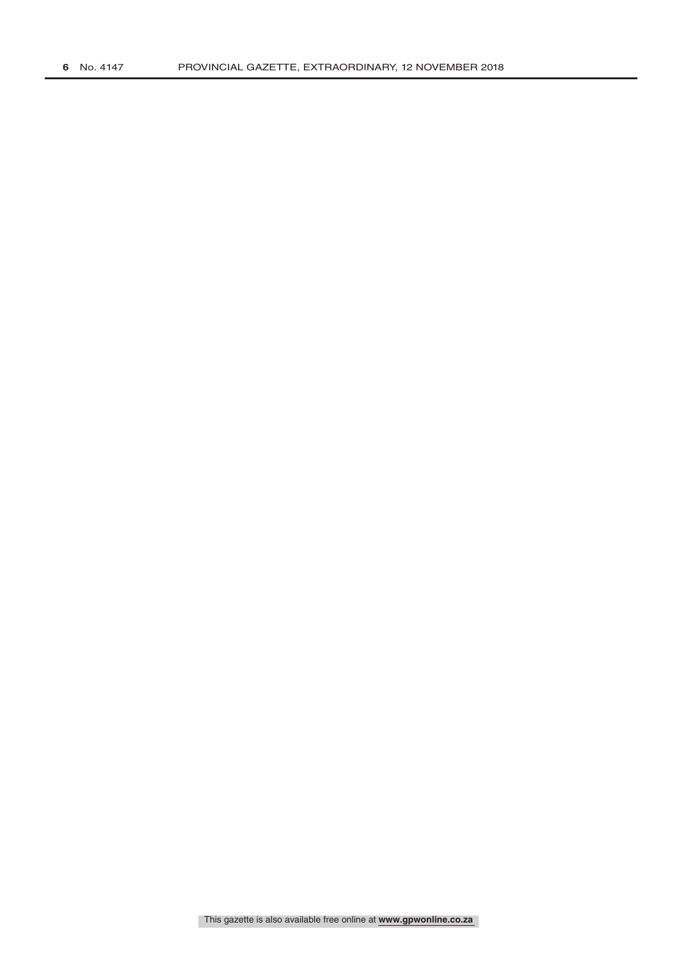This gazette is also available free online at **www.gpwonline.co.za**